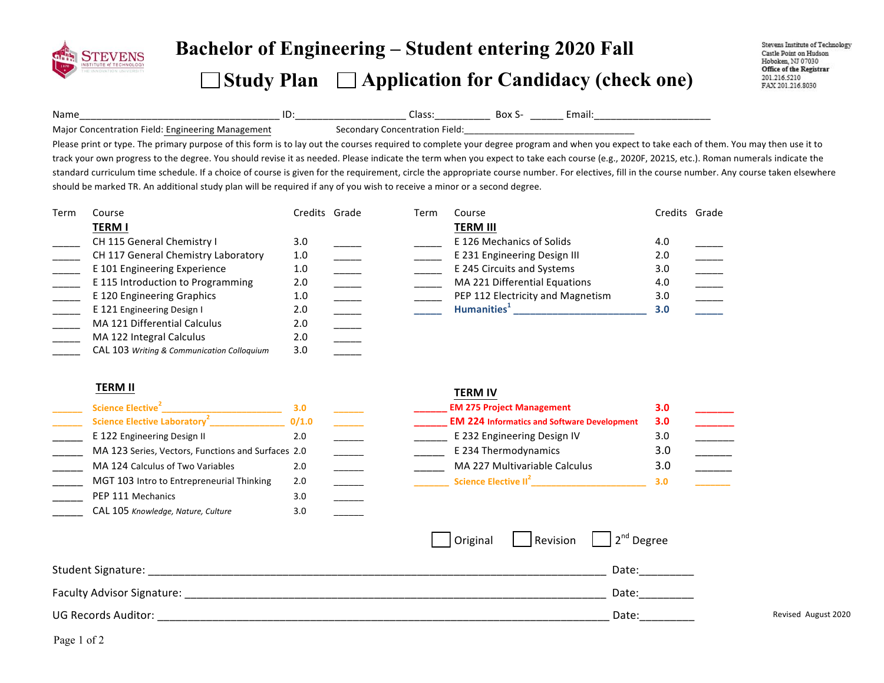

# **Bachelor of Engineering – Student entering <sup>20</sup><sup>20</sup> Fall**

### **Study Plan Application for Candidacy (check one)**

Stevens Institute of Technology Castle Point on Hudson Hoboken, NJ 07030 Office of the Registrar 201.216.5210 FAX 201.216.8030

Name\_\_\_\_\_\_\_\_\_\_\_\_\_\_\_\_\_\_\_\_\_\_\_\_\_\_\_\_\_\_\_\_\_\_\_\_!ID:\_\_\_\_\_\_\_\_\_\_\_\_\_\_\_\_\_\_\_\_!Class:\_\_\_\_\_\_\_\_\_\_!!Box!S- \_\_\_\_\_\_!Email:\_\_\_\_\_\_\_\_\_\_\_\_\_\_\_\_\_\_\_\_\_!Major Concentration Field: Engineering Management Secondary Concentration Field:

Please print or type. The primary purpose of this form is to lay out the courses required to complete your degree program and when you expect to take each of them. You may then use it to track your own progress to the degree. You should revise it as needed. Please indicate the term when you expect to take each course (e.g., 2020F, 2021S, etc.). Roman numerals indicate the standard curriculum time schedule. If a choice of course is given for the requirement, circle the appropriate course number. For electives, fill in the course number. Any course taken elsewhere should be marked TR. An additional study plan will be required if any of you wish to receive a minor or a second degree.

| Term | Course                                     | Credits Grade | Term | Course                            | Credits Grade |  |
|------|--------------------------------------------|---------------|------|-----------------------------------|---------------|--|
|      | <b>TERM I</b>                              |               |      | <b>TERM III</b>                   |               |  |
|      | CH 115 General Chemistry I                 | 3.0           |      | E 126 Mechanics of Solids         | 4.0           |  |
|      | CH 117 General Chemistry Laboratory        | 1.0           |      | E 231 Engineering Design III      | 2.0           |  |
|      | E 101 Engineering Experience               | 1.0           |      | E 245 Circuits and Systems        | 3.0           |  |
|      | E 115 Introduction to Programming          | 2.0           |      | MA 221 Differential Equations     | 4.0           |  |
|      | E 120 Engineering Graphics                 | 1.0           |      | PEP 112 Electricity and Magnetism | 3.0           |  |
|      | E 121 Engineering Design I                 | 2.0           |      | Humanities <sup>+</sup>           | 3.0           |  |
|      | <b>MA 121 Differential Calculus</b>        | 2.0           |      |                                   |               |  |
|      | MA 122 Integral Calculus                   | 2.0           |      |                                   |               |  |
|      | CAL 103 Writing & Communication Colloquium | 3.0           |      |                                   |               |  |

### **TERM%II%**

| Science Elective <sup>2</sup>                      | 3.0   |  |
|----------------------------------------------------|-------|--|
| <b>Science Elective Laboratory<sup>2</sup></b>     | 0/1.0 |  |
| E 122 Engineering Design II                        | 2.0   |  |
| MA 123 Series, Vectors, Functions and Surfaces 2.0 |       |  |
| MA 124 Calculus of Two Variables                   | 2.0   |  |
| MGT 103 Intro to Entrepreneurial Thinking          | 2.0   |  |
| PEP 111 Mechanics                                  | 3.0   |  |
| CAL 105 Knowledge, Nature, Culture                 | 3.0   |  |

#### **TERM%IV**

| Science Elective <sup>2</sup>                      |       |  | <b>EM 275 Project Management</b>                   | 3.0 |  |
|----------------------------------------------------|-------|--|----------------------------------------------------|-----|--|
| Science Elective Laboratory <sup>2</sup>           | 0/1.0 |  | <b>EM 224 Informatics and Software Development</b> | 3.0 |  |
| E 122 Engineering Design II                        | 2.0   |  | E 232 Engineering Design IV                        |     |  |
| MA 123 Series, Vectors, Functions and Surfaces 2.0 |       |  | E 234 Thermodynamics                               |     |  |
| MA 124 Calculus of Two Variables                   | 2.0   |  | MA 227 Multivariable Calculus                      | 3.C |  |
| MGT 103 Intro to Entrepreneurial Thinking          | 2.0   |  | Science Elective II <sup>2</sup>                   | 3.0 |  |

|                            |  | $\vert$ Original   Revision   $\vert 2^{nd}$ Degree |                     |
|----------------------------|--|-----------------------------------------------------|---------------------|
| Student Signature:         |  | Date:                                               |                     |
| Faculty Advisor Signature: |  | Date:                                               |                     |
| UG Records Auditor:        |  | Date:                                               | Revised August 2020 |